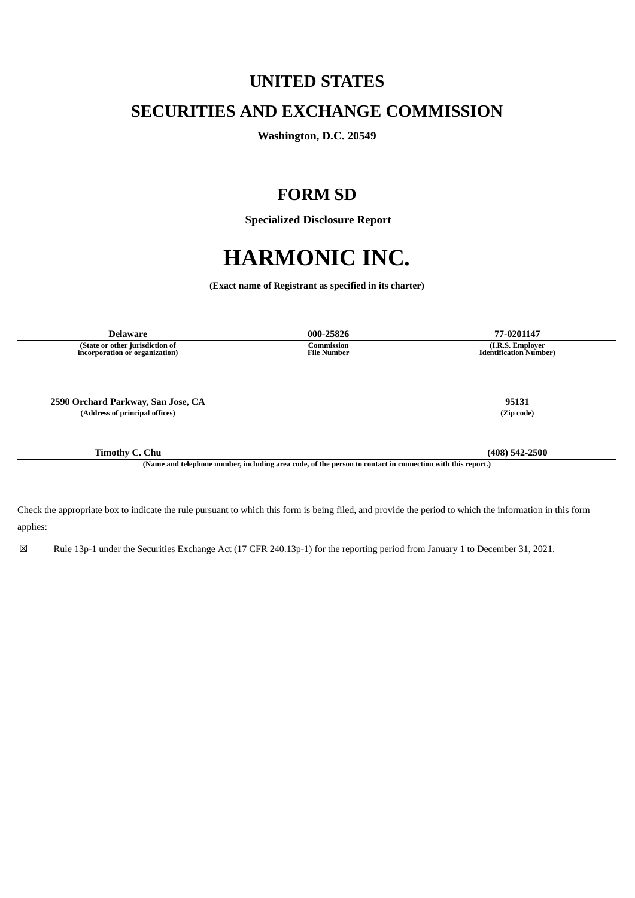# **UNITED STATES**

## **SECURITIES AND EXCHANGE COMMISSION**

**Washington, D.C. 20549**

## **FORM SD**

 **Specialized Disclosure Report**

# **HARMONIC INC.**

**(Exact name of Registrant as specified in its charter)**

| <b>Delaware</b>                                                                                            | 000-25826                               | 77-0201147                                        |
|------------------------------------------------------------------------------------------------------------|-----------------------------------------|---------------------------------------------------|
| (State or other jurisdiction of<br>incorporation or organization)                                          | <b>Commission</b><br><b>File Number</b> | (I.R.S. Employer<br><b>Identification Number)</b> |
|                                                                                                            |                                         |                                                   |
|                                                                                                            |                                         |                                                   |
| 2590 Orchard Parkway, San Jose, CA                                                                         |                                         | 95131                                             |
| (Address of principal offices)                                                                             |                                         | (Zip code)                                        |
|                                                                                                            |                                         |                                                   |
| <b>Timothy C. Chu</b>                                                                                      |                                         | $(408)$ 542-2500                                  |
| (Name and telephone number, including area code, of the person to contact in connection with this report.) |                                         |                                                   |

Check the appropriate box to indicate the rule pursuant to which this form is being filed, and provide the period to which the information in this form applies:

☒ Rule 13p-1 under the Securities Exchange Act (17 CFR 240.13p-1) for the reporting period from January 1 to December 31, 2021.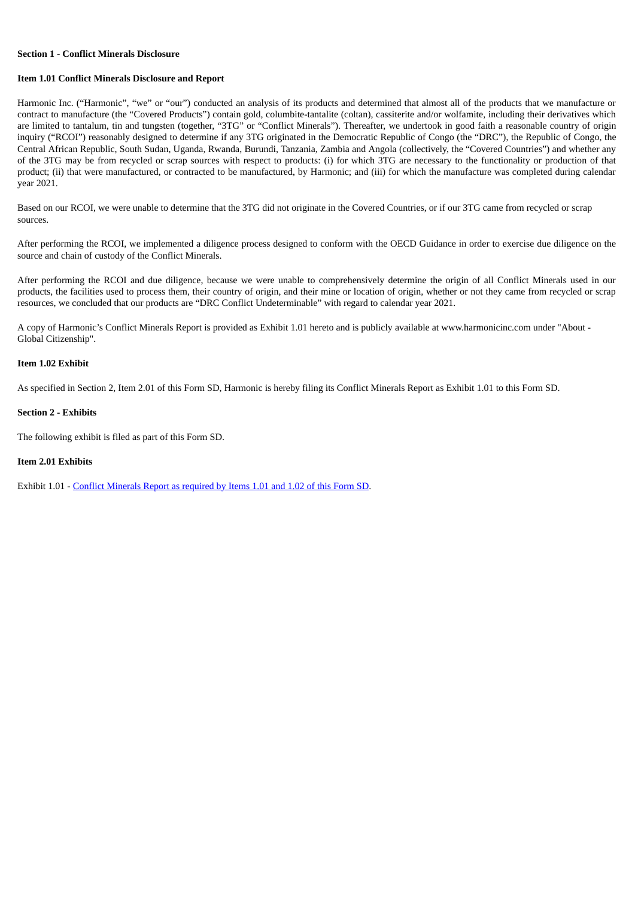#### **Section 1 - Conflict Minerals Disclosure**

#### **Item 1.01 Conflict Minerals Disclosure and Report**

Harmonic Inc. ("Harmonic", "we" or "our") conducted an analysis of its products and determined that almost all of the products that we manufacture or contract to manufacture (the "Covered Products") contain gold, columbite-tantalite (coltan), cassiterite and/or wolfamite, including their derivatives which are limited to tantalum, tin and tungsten (together, "3TG" or "Conflict Minerals"). Thereafter, we undertook in good faith a reasonable country of origin inquiry ("RCOI") reasonably designed to determine if any 3TG originated in the Democratic Republic of Congo (the "DRC"), the Republic of Congo, the Central African Republic, South Sudan, Uganda, Rwanda, Burundi, Tanzania, Zambia and Angola (collectively, the "Covered Countries") and whether any of the 3TG may be from recycled or scrap sources with respect to products: (i) for which 3TG are necessary to the functionality or production of that product; (ii) that were manufactured, or contracted to be manufactured, by Harmonic; and (iii) for which the manufacture was completed during calendar year 2021.

Based on our RCOI, we were unable to determine that the 3TG did not originate in the Covered Countries, or if our 3TG came from recycled or scrap sources.

After performing the RCOI, we implemented a diligence process designed to conform with the OECD Guidance in order to exercise due diligence on the source and chain of custody of the Conflict Minerals.

After performing the RCOI and due diligence, because we were unable to comprehensively determine the origin of all Conflict Minerals used in our products, the facilities used to process them, their country of origin, and their mine or location of origin, whether or not they came from recycled or scrap resources, we concluded that our products are "DRC Conflict Undeterminable" with regard to calendar year 2021.

A copy of Harmonic's Conflict Minerals Report is provided as Exhibit 1.01 hereto and is publicly available at www.harmonicinc.com under "About - Global Citizenship".

#### **Item 1.02 Exhibit**

As specified in Section 2, Item 2.01 of this Form SD, Harmonic is hereby filing its Conflict Minerals Report as Exhibit 1.01 to this Form SD.

#### **Section 2 - Exhibits**

The following exhibit is filed as part of this Form SD.

#### **Item 2.01 Exhibits**

Exhibit 1.01 - Conflict [Minerals](#page-3-0) Report as required by Items 1.01 and 1.02 of this Form SD.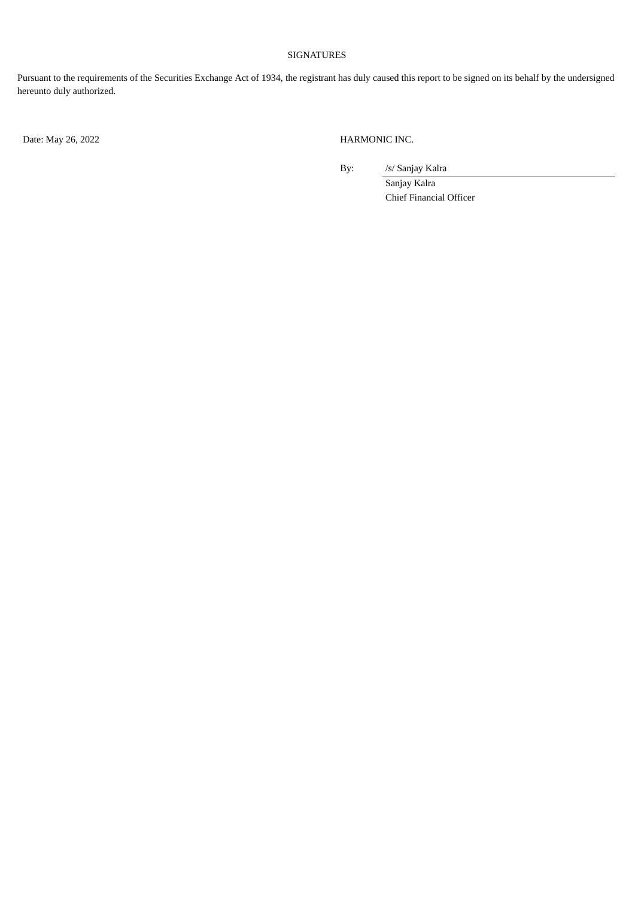## SIGNATURES

Pursuant to the requirements of the Securities Exchange Act of 1934, the registrant has duly caused this report to be signed on its behalf by the undersigned hereunto duly authorized.

Date: May 26, 2022 HARMONIC INC.

By: /s/ Sanjay Kalra

Sanjay Kalra Chief Financial Officer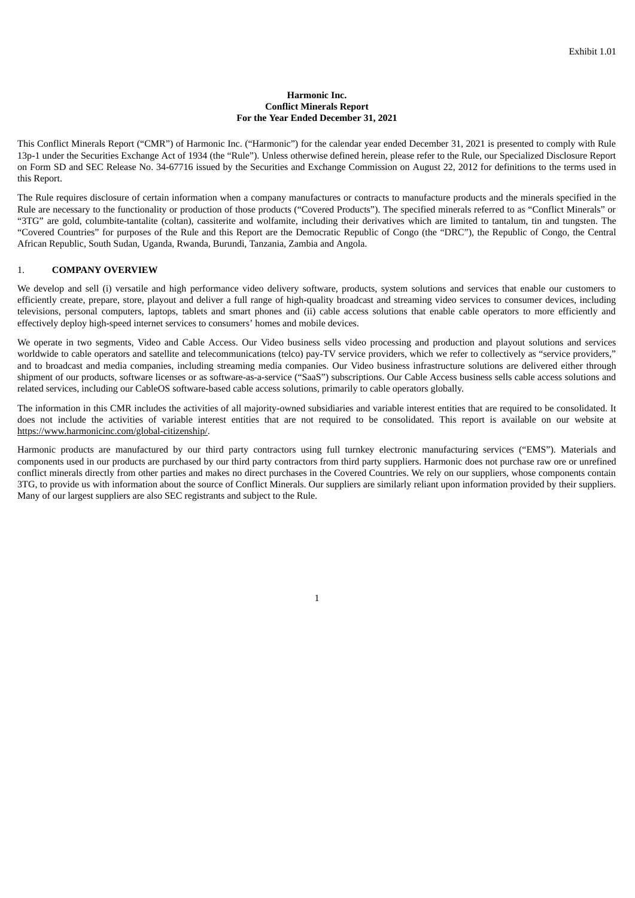#### **Harmonic Inc. Conflict Minerals Report For the Year Ended December 31, 2021**

<span id="page-3-0"></span>This Conflict Minerals Report ("CMR") of Harmonic Inc. ("Harmonic") for the calendar year ended December 31, 2021 is presented to comply with Rule 13p-1 under the Securities Exchange Act of 1934 (the "Rule"). Unless otherwise defined herein, please refer to the Rule, our Specialized Disclosure Report on Form SD and SEC Release No. 34-67716 issued by the Securities and Exchange Commission on August 22, 2012 for definitions to the terms used in this Report.

The Rule requires disclosure of certain information when a company manufactures or contracts to manufacture products and the minerals specified in the Rule are necessary to the functionality or production of those products ("Covered Products"). The specified minerals referred to as "Conflict Minerals" or "3TG" are gold, columbite-tantalite (coltan), cassiterite and wolfamite, including their derivatives which are limited to tantalum, tin and tungsten. The "Covered Countries" for purposes of the Rule and this Report are the Democratic Republic of Congo (the "DRC"), the Republic of Congo, the Central African Republic, South Sudan, Uganda, Rwanda, Burundi, Tanzania, Zambia and Angola.

### 1. **COMPANY OVERVIEW**

We develop and sell (i) versatile and high performance video delivery software, products, system solutions and services that enable our customers to efficiently create, prepare, store, playout and deliver a full range of high-quality broadcast and streaming video services to consumer devices, including televisions, personal computers, laptops, tablets and smart phones and (ii) cable access solutions that enable cable operators to more efficiently and effectively deploy high-speed internet services to consumers' homes and mobile devices.

We operate in two segments, Video and Cable Access. Our Video business sells video processing and production and playout solutions and services worldwide to cable operators and satellite and telecommunications (telco) pay-TV service providers, which we refer to collectively as "service providers," and to broadcast and media companies, including streaming media companies. Our Video business infrastructure solutions are delivered either through shipment of our products, software licenses or as software-as-a-service ("SaaS") subscriptions. Our Cable Access business sells cable access solutions and related services, including our CableOS software-based cable access solutions, primarily to cable operators globally.

The information in this CMR includes the activities of all majority-owned subsidiaries and variable interest entities that are required to be consolidated. It does not include the activities of variable interest entities that are not required to be consolidated. This report is available on our website at https://www.harmonicinc.com/global-citizenship/.

Harmonic products are manufactured by our third party contractors using full turnkey electronic manufacturing services ("EMS"). Materials and components used in our products are purchased by our third party contractors from third party suppliers. Harmonic does not purchase raw ore or unrefined conflict minerals directly from other parties and makes no direct purchases in the Covered Countries. We rely on our suppliers, whose components contain 3TG, to provide us with information about the source of Conflict Minerals. Our suppliers are similarly reliant upon information provided by their suppliers. Many of our largest suppliers are also SEC registrants and subject to the Rule.

1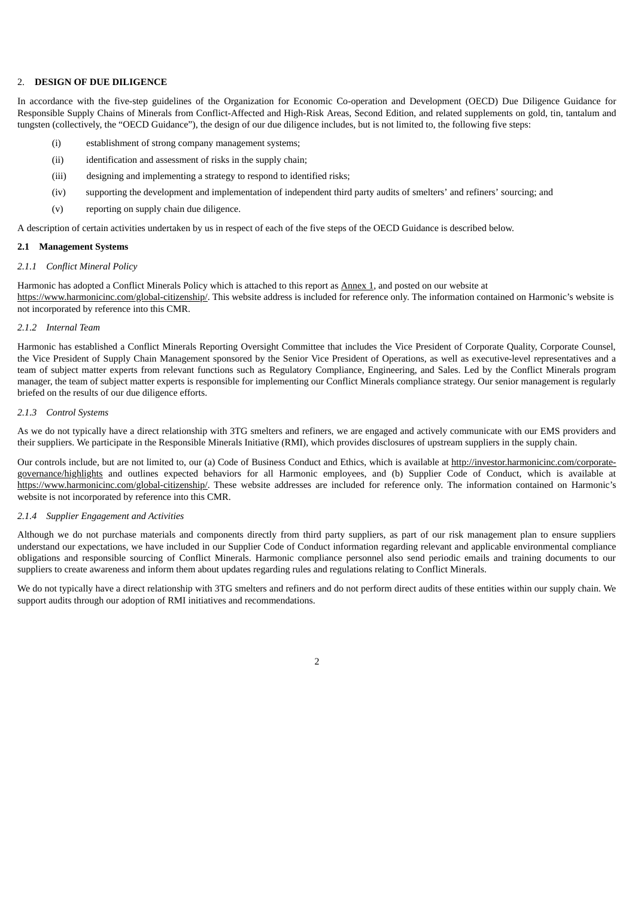#### 2. **DESIGN OF DUE DILIGENCE**

In accordance with the five-step guidelines of the Organization for Economic Co-operation and Development (OECD) Due Diligence Guidance for Responsible Supply Chains of Minerals from Conflict-Affected and High-Risk Areas, Second Edition, and related supplements on gold, tin, tantalum and tungsten (collectively, the "OECD Guidance"), the design of our due diligence includes, but is not limited to, the following five steps:

- (i) establishment of strong company management systems;
- (ii) identification and assessment of risks in the supply chain;
- (iii) designing and implementing a strategy to respond to identified risks;
- (iv) supporting the development and implementation of independent third party audits of smelters' and refiners' sourcing; and
- (v) reporting on supply chain due diligence.

A description of certain activities undertaken by us in respect of each of the five steps of the OECD Guidance is described below.

#### **2.1 Management Systems**

#### *2.1.1 Conflict Mineral Policy*

Harmonic has adopted a Conflict Minerals Policy which is attached to this report as Annex 1, and posted on our website at https://www.harmonicinc.com/global-citizenship/. This website address is included for reference only. The information contained on Harmonic's website is not incorporated by reference into this CMR.

#### *2.1.2 Internal Team*

Harmonic has established a Conflict Minerals Reporting Oversight Committee that includes the Vice President of Corporate Quality, Corporate Counsel, the Vice President of Supply Chain Management sponsored by the Senior Vice President of Operations, as well as executive-level representatives and a team of subject matter experts from relevant functions such as Regulatory Compliance, Engineering, and Sales. Led by the Conflict Minerals program manager, the team of subject matter experts is responsible for implementing our Conflict Minerals compliance strategy. Our senior management is regularly briefed on the results of our due diligence efforts.

#### *2.1.3 Control Systems*

As we do not typically have a direct relationship with 3TG smelters and refiners, we are engaged and actively communicate with our EMS providers and their suppliers. We participate in the Responsible Minerals Initiative (RMI), which provides disclosures of upstream suppliers in the supply chain.

Our controls include, but are not limited to, our (a) Code of Business Conduct and Ethics, which is available at http://investor.harmonicinc.com/corporategovernance/highlights and outlines expected behaviors for all Harmonic employees, and (b) Supplier Code of Conduct, which is available at https://www.harmonicinc.com/global-citizenship/. These website addresses are included for reference only. The information contained on Harmonic's website is not incorporated by reference into this CMR.

#### *2.1.4 Supplier Engagement and Activities*

Although we do not purchase materials and components directly from third party suppliers, as part of our risk management plan to ensure suppliers understand our expectations, we have included in our Supplier Code of Conduct information regarding relevant and applicable environmental compliance obligations and responsible sourcing of Conflict Minerals. Harmonic compliance personnel also send periodic emails and training documents to our suppliers to create awareness and inform them about updates regarding rules and regulations relating to Conflict Minerals.

We do not typically have a direct relationship with 3TG smelters and refiners and do not perform direct audits of these entities within our supply chain. We support audits through our adoption of RMI initiatives and recommendations.

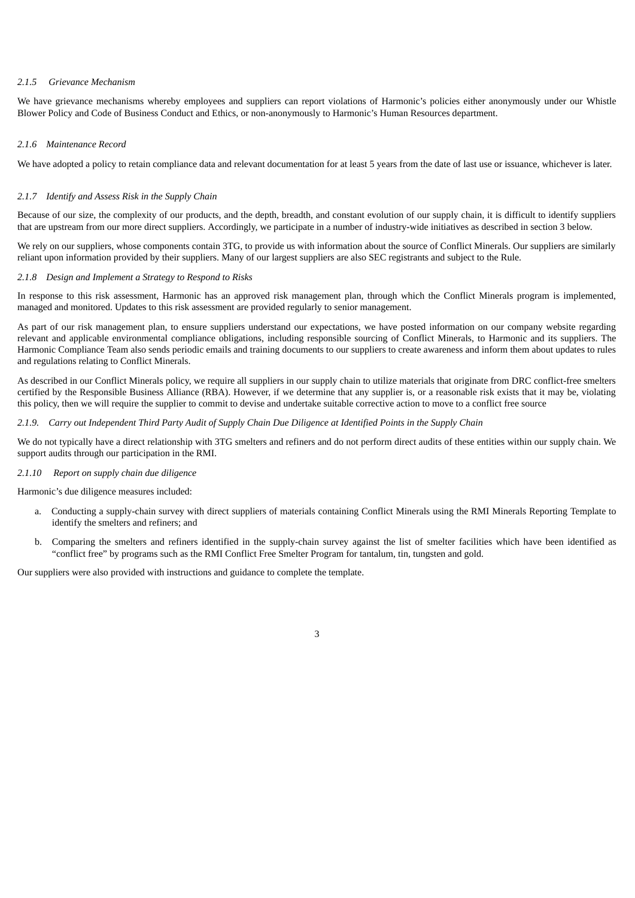#### *2.1.5 Grievance Mechanism*

We have grievance mechanisms whereby employees and suppliers can report violations of Harmonic's policies either anonymously under our Whistle Blower Policy and Code of Business Conduct and Ethics, or non-anonymously to Harmonic's Human Resources department.

#### *2.1.6 Maintenance Record*

We have adopted a policy to retain compliance data and relevant documentation for at least 5 years from the date of last use or issuance, whichever is later.

#### *2.1.7 Identify and Assess Risk in the Supply Chain*

Because of our size, the complexity of our products, and the depth, breadth, and constant evolution of our supply chain, it is difficult to identify suppliers that are upstream from our more direct suppliers. Accordingly, we participate in a number of industry-wide initiatives as described in section 3 below.

We rely on our suppliers, whose components contain 3TG, to provide us with information about the source of Conflict Minerals. Our suppliers are similarly reliant upon information provided by their suppliers. Many of our largest suppliers are also SEC registrants and subject to the Rule.

#### *2.1.8 Design and Implement a Strategy to Respond to Risks*

In response to this risk assessment, Harmonic has an approved risk management plan, through which the Conflict Minerals program is implemented, managed and monitored. Updates to this risk assessment are provided regularly to senior management.

As part of our risk management plan, to ensure suppliers understand our expectations, we have posted information on our company website regarding relevant and applicable environmental compliance obligations, including responsible sourcing of Conflict Minerals, to Harmonic and its suppliers. The Harmonic Compliance Team also sends periodic emails and training documents to our suppliers to create awareness and inform them about updates to rules and regulations relating to Conflict Minerals.

As described in our Conflict Minerals policy, we require all suppliers in our supply chain to utilize materials that originate from DRC conflict-free smelters certified by the Responsible Business Alliance (RBA). However, if we determine that any supplier is, or a reasonable risk exists that it may be, violating this policy, then we will require the supplier to commit to devise and undertake suitable corrective action to move to a conflict free source

#### 2.1.9. Carry out Independent Third Party Audit of Supply Chain Due Diliaence at Identified Points in the Supply Chain

We do not typically have a direct relationship with 3TG smelters and refiners and do not perform direct audits of these entities within our supply chain. We support audits through our participation in the RMI.

#### *2.1.10 Report on supply chain due diligence*

Harmonic's due diligence measures included:

- a. Conducting a supply-chain survey with direct suppliers of materials containing Conflict Minerals using the RMI Minerals Reporting Template to identify the smelters and refiners; and
- b. Comparing the smelters and refiners identified in the supply-chain survey against the list of smelter facilities which have been identified as "conflict free" by programs such as the RMI Conflict Free Smelter Program for tantalum, tin, tungsten and gold.

3

Our suppliers were also provided with instructions and guidance to complete the template.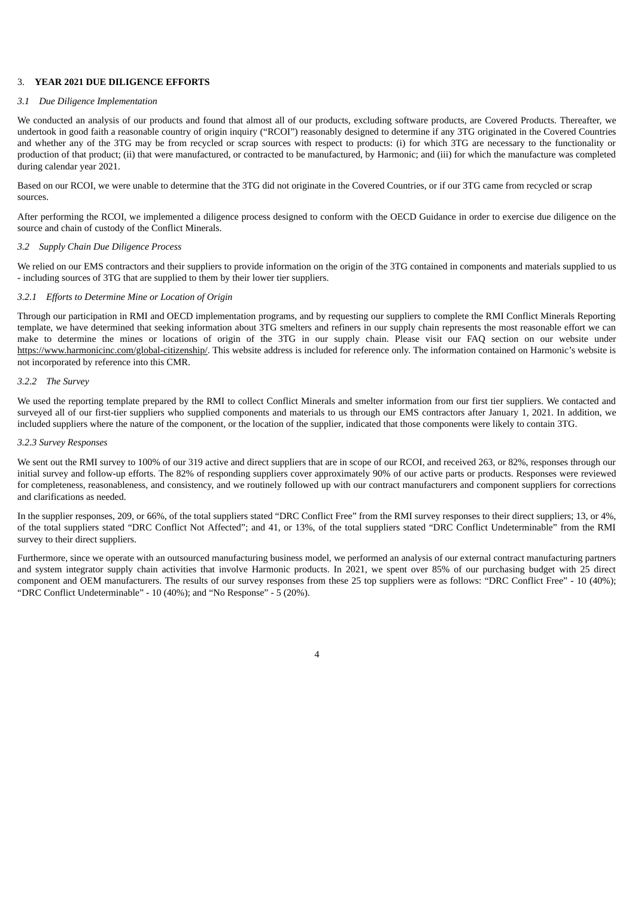#### 3. **YEAR 2021 DUE DILIGENCE EFFORTS**

#### *3.1 Due Diligence Implementation*

We conducted an analysis of our products and found that almost all of our products, excluding software products, are Covered Products. Thereafter, we undertook in good faith a reasonable country of origin inquiry ("RCOI") reasonably designed to determine if any 3TG originated in the Covered Countries and whether any of the 3TG may be from recycled or scrap sources with respect to products: (i) for which 3TG are necessary to the functionality or production of that product; (ii) that were manufactured, or contracted to be manufactured, by Harmonic; and (iii) for which the manufacture was completed during calendar year 2021.

Based on our RCOI, we were unable to determine that the 3TG did not originate in the Covered Countries, or if our 3TG came from recycled or scrap sources.

After performing the RCOI, we implemented a diligence process designed to conform with the OECD Guidance in order to exercise due diligence on the source and chain of custody of the Conflict Minerals.

#### *3.2 Supply Chain Due Diligence Process*

We relied on our EMS contractors and their suppliers to provide information on the origin of the 3TG contained in components and materials supplied to us - including sources of 3TG that are supplied to them by their lower tier suppliers.

#### *3.2.1 Efforts to Determine Mine or Location of Origin*

Through our participation in RMI and OECD implementation programs, and by requesting our suppliers to complete the RMI Conflict Minerals Reporting template, we have determined that seeking information about 3TG smelters and refiners in our supply chain represents the most reasonable effort we can make to determine the mines or locations of origin of the 3TG in our supply chain. Please visit our FAQ section on our website under https://www.harmonicinc.com/global-citizenship/. This website address is included for reference only. The information contained on Harmonic's website is not incorporated by reference into this CMR.

#### *3.2.2 The Survey*

We used the reporting template prepared by the RMI to collect Conflict Minerals and smelter information from our first tier suppliers. We contacted and surveyed all of our first-tier suppliers who supplied components and materials to us through our EMS contractors after January 1, 2021. In addition, we included suppliers where the nature of the component, or the location of the supplier, indicated that those components were likely to contain 3TG.

#### *3.2.3 Survey Responses*

We sent out the RMI survey to 100% of our 319 active and direct suppliers that are in scope of our RCOI, and received 263, or 82%, responses through our initial survey and follow-up efforts. The 82% of responding suppliers cover approximately 90% of our active parts or products. Responses were reviewed for completeness, reasonableness, and consistency, and we routinely followed up with our contract manufacturers and component suppliers for corrections and clarifications as needed.

In the supplier responses, 209, or 66%, of the total suppliers stated "DRC Conflict Free" from the RMI survey responses to their direct suppliers; 13, or 4%, of the total suppliers stated "DRC Conflict Not Affected"; and 41, or 13%, of the total suppliers stated "DRC Conflict Undeterminable" from the RMI survey to their direct suppliers.

Furthermore, since we operate with an outsourced manufacturing business model, we performed an analysis of our external contract manufacturing partners and system integrator supply chain activities that involve Harmonic products. In 2021, we spent over 85% of our purchasing budget with 25 direct component and OEM manufacturers. The results of our survey responses from these 25 top suppliers were as follows: "DRC Conflict Free" - 10 (40%); "DRC Conflict Undeterminable" - 10 (40%); and "No Response" - 5 (20%).

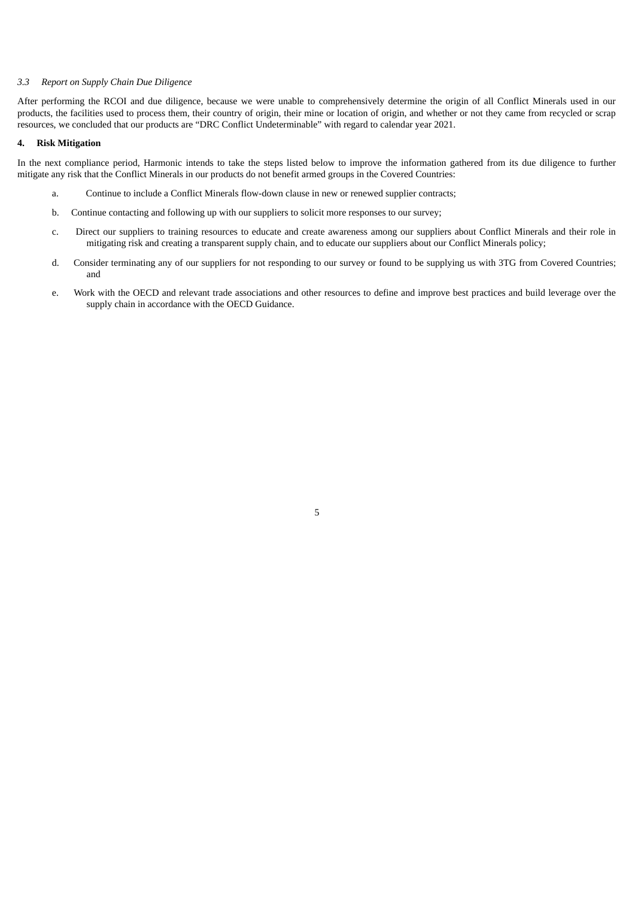#### *3.3 Report on Supply Chain Due Diligence*

After performing the RCOI and due diligence, because we were unable to comprehensively determine the origin of all Conflict Minerals used in our products, the facilities used to process them, their country of origin, their mine or location of origin, and whether or not they came from recycled or scrap resources, we concluded that our products are "DRC Conflict Undeterminable" with regard to calendar year 2021.

#### **4. Risk Mitigation**

In the next compliance period, Harmonic intends to take the steps listed below to improve the information gathered from its due diligence to further mitigate any risk that the Conflict Minerals in our products do not benefit armed groups in the Covered Countries:

- a. Continue to include a Conflict Minerals flow-down clause in new or renewed supplier contracts;
- b. Continue contacting and following up with our suppliers to solicit more responses to our survey;
- c. Direct our suppliers to training resources to educate and create awareness among our suppliers about Conflict Minerals and their role in mitigating risk and creating a transparent supply chain, and to educate our suppliers about our Conflict Minerals policy;
- d. Consider terminating any of our suppliers for not responding to our survey or found to be supplying us with 3TG from Covered Countries; and
- e. Work with the OECD and relevant trade associations and other resources to define and improve best practices and build leverage over the supply chain in accordance with the OECD Guidance.